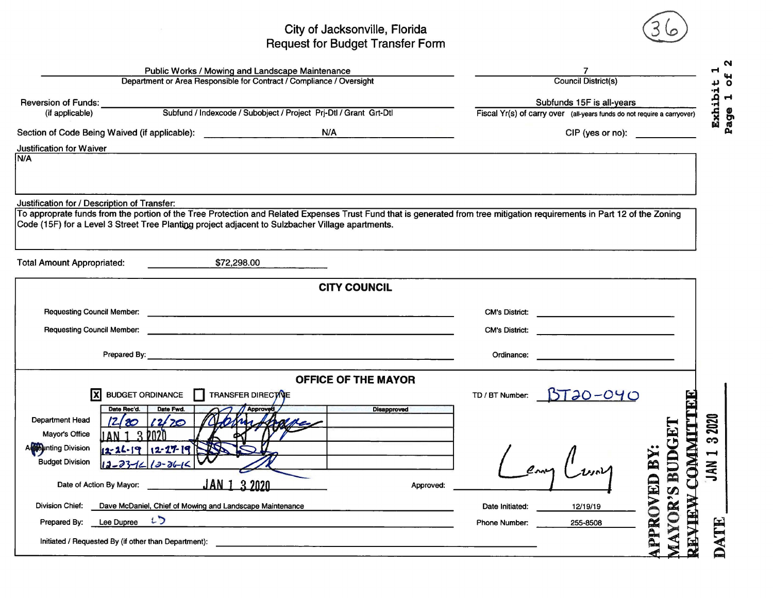## Request City of for Jacksonville, Budget Transfer Florida Form

| Public Works / Mowing and Landscape Maintenance                                                                                                                                                                                                                              |                                                                | N                                                                       |                                                      |
|------------------------------------------------------------------------------------------------------------------------------------------------------------------------------------------------------------------------------------------------------------------------------|----------------------------------------------------------------|-------------------------------------------------------------------------|------------------------------------------------------|
| Department or Area Responsible for Contract / Compliance / Oversight                                                                                                                                                                                                         |                                                                | <b>Council District(s)</b>                                              | $\circ$                                              |
| <b>Reversion of Funds:</b>                                                                                                                                                                                                                                                   |                                                                | Subfunds 15F is all-years                                               | $\blacktriangleleft$                                 |
| Subfund / Indexcode / Subobject / Project Prj-Dtl / Grant Grt-Dtl<br>(if applicable)                                                                                                                                                                                         |                                                                | Fiscal Yr(s) of carry over (all-years funds do not require a carryover) | Exhibi<br>Page                                       |
| Section of Code Being Waived (if applicable): Next and American control of Code Being Waived (if applicable):                                                                                                                                                                | N/A<br><u> 1980 - Jan James Barnett, politik politik (</u>     |                                                                         | $CIP$ (yes or no):                                   |
| Justification for Waiver                                                                                                                                                                                                                                                     |                                                                |                                                                         |                                                      |
| N/A                                                                                                                                                                                                                                                                          |                                                                |                                                                         |                                                      |
|                                                                                                                                                                                                                                                                              |                                                                |                                                                         |                                                      |
| Justification for / Description of Transfer:                                                                                                                                                                                                                                 |                                                                |                                                                         |                                                      |
| To approprate funds from the portion of the Tree Protection and Related Expenses Trust Fund that is generated from tree mitigation requirements in Part 12 of the Zoning<br>Code (15F) for a Level 3 Street Tree Planting project adjacent to Sulzbacher Village apartments. |                                                                |                                                                         |                                                      |
|                                                                                                                                                                                                                                                                              |                                                                |                                                                         |                                                      |
|                                                                                                                                                                                                                                                                              |                                                                |                                                                         |                                                      |
| \$72,298.00<br><b>Total Amount Appropriated:</b>                                                                                                                                                                                                                             |                                                                |                                                                         |                                                      |
|                                                                                                                                                                                                                                                                              | <b>CITY COUNCIL</b>                                            |                                                                         |                                                      |
|                                                                                                                                                                                                                                                                              |                                                                | <b>CM's District:</b>                                                   | <u> 1980 - Andrea Andrew Maria (h. 1980).</u>        |
|                                                                                                                                                                                                                                                                              |                                                                |                                                                         |                                                      |
| <b>Requesting Council Member:</b><br>$\mathcal{L} = \mathcal{L} \times \mathcal{L} \times \mathcal{L}$ , where $\mathcal{L} = \mathcal{L} \times \mathcal{L}$                                                                                                                |                                                                | <b>CM's District:</b>                                                   | <u> 1989 - Johann Barn, mars et al. (</u>            |
| Prepared By: <u>Contract Communication</u> Contract Communication Communication Communication Communication Communication                                                                                                                                                    |                                                                | Ordinance:                                                              |                                                      |
|                                                                                                                                                                                                                                                                              | <b>OFFICE OF THE MAYOR</b>                                     |                                                                         |                                                      |
| <b>BUDGET ORDINANCE</b><br>TRANSFER DIRECT VE                                                                                                                                                                                                                                |                                                                | $BT30-040$<br>TD / BT Number:                                           |                                                      |
| <b>Approved</b><br>Date Rec'd.<br>Date Fwd.                                                                                                                                                                                                                                  | <b>Disapproved</b>                                             |                                                                         |                                                      |
| Department Head<br>12/20<br>Mayor's Office                                                                                                                                                                                                                                   |                                                                |                                                                         | 2020                                                 |
| A Dunting Division<br>12-26-19 12-27-19                                                                                                                                                                                                                                      |                                                                |                                                                         | က                                                    |
| <b>Budget Division</b><br>$2 - 36$                                                                                                                                                                                                                                           |                                                                |                                                                         | <b>LIMMO-</b><br>$\overline{\phantom{0}}$            |
|                                                                                                                                                                                                                                                                              |                                                                |                                                                         | <b>JAN</b>                                           |
| 32020<br>JAN <sub>1</sub><br>Date of Action By Mayor:                                                                                                                                                                                                                        | Approved:                                                      |                                                                         |                                                      |
| <b>Division Chief:</b><br>Dave McDaniel, Chief of Mowing and Landscape Maintenance                                                                                                                                                                                           |                                                                | 12/19/19<br>Date Initiated:                                             |                                                      |
| Prepared By: Lee Dupree LD                                                                                                                                                                                                                                                   |                                                                | <b>Phone Number:</b><br>255-8508                                        | TE                                                   |
| Initiated / Requested By (if other than Department):                                                                                                                                                                                                                         | <u> 1980 - Johann Johann Stone, meil am Frankrik (b. 1980)</u> |                                                                         | <b>MAYOR'S BUDGET</b><br><b>PPROVED BY</b><br>WHATEX |
|                                                                                                                                                                                                                                                                              |                                                                |                                                                         |                                                      |

N ibit<br>1 o:

 $\sqrt{36}$